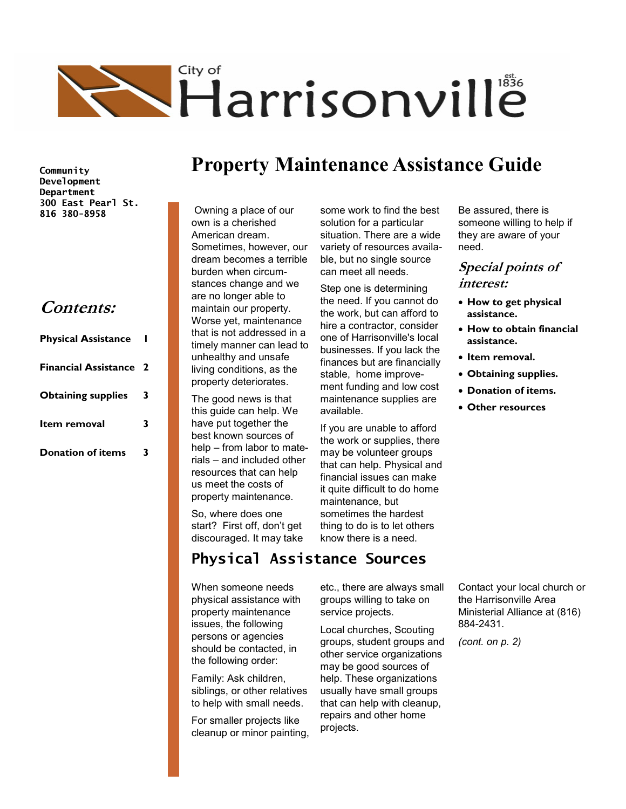

**Community Development Department 300 East Pearl St. 816 380-8958**

### **Contents:**

| <b>Physical Assistance</b>    |   |
|-------------------------------|---|
| <b>Financial Assistance 2</b> |   |
| <b>Obtaining supplies</b>     | 3 |
| Item removal                  | 3 |
| <b>Donation of items</b>      |   |

# **Property Maintenance Assistance Guide**

some work to find the best solution for a particular situation. There are a wide variety of resources available, but no single source can meet all needs.

Step one is determining the need. If you cannot do the work, but can afford to hire a contractor, consider one of Harrisonville's local businesses. If you lack the finances but are financially stable, home improvement funding and low cost maintenance supplies are

If you are unable to afford the work or supplies, there may be volunteer groups that can help. Physical and financial issues can make it quite difficult to do home

maintenance, but sometimes the hardest thing to do is to let others

Owning a place of our own is a cherished American dream. Sometimes, however, our dream becomes a terrible burden when circumstances change and we are no longer able to maintain our property. Worse yet, maintenance that is not addressed in a timely manner can lead to unhealthy and unsafe living conditions, as the property deteriorates.

The good news is that this guide can help. We have put together the best known sources of help – from labor to materials – and included other resources that can help us meet the costs of property maintenance.

So, where does one start? First off, don't get discouraged. It may take

know there is a need.

available.

**Physical Assistance Sources**

When someone needs physical assistance with property maintenance issues, the following persons or agencies should be contacted, in the following order:

Family: Ask children, siblings, or other relatives to help with small needs.

For smaller projects like cleanup or minor painting, etc., there are always small groups willing to take on service projects.

Local churches, Scouting groups, student groups and other service organizations may be good sources of help. These organizations usually have small groups that can help with cleanup, repairs and other home projects.

Be assured, there is someone willing to help if they are aware of your need.

#### **Special points of interest:**

- **How to get physical assistance.**
- **How to obtain financial assistance.**
- **Item removal.**
- **Obtaining supplies.**
- **Donation of items.**
- **Other resources**

Contact your local church or the Harrisonville Area Ministerial Alliance at (816) 884-2431.

*(cont. on p. 2)*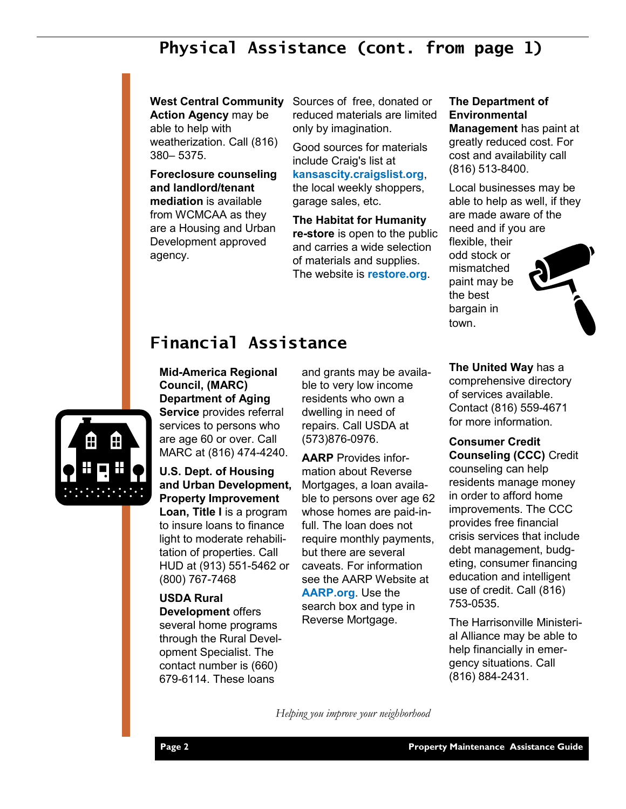# **Physical Assistance (cont. from page 1)**

**Action Agency** may be able to help with weatherization. Call (816)

380– 5375.

**Foreclosure counseling and landlord/tenant mediation** is available from WCMCAA as they are a Housing and Urban Development approved agency.

**West Central Community**  Sources of free, donated or reduced materials are limited only by imagination.

> Good sources for materials include Craig's list at **kansascity.craigslist.org**,

the local weekly shoppers, garage sales, etc.

**The Habitat for Humanity re-store** is open to the public and carries a wide selection of materials and supplies. The website is **restore.org**.

#### **The Department of Environmental**

**Management** has paint at greatly reduced cost. For cost and availability call (816) 513-8400.

Local businesses may be able to help as well, if they are made aware of the need and if you are

flexible, their odd stock or mismatched paint may be the best bargain in town.



## **Financial Assistance**

#### **Mid-America Regional Council, (MARC) Department of Aging**

**Service** provides referral services to persons who are age 60 or over. Call MARC at (816) 474-4240.

**U.S. Dept. of Housing and Urban Development, Property Improvement** 

**Loan, Title I** is a program to insure loans to finance light to moderate rehabilitation of properties. Call HUD at (913) 551-5462 or (800) 767-7468

### **USDA Rural**

**Development** offers several home programs through the Rural Development Specialist. The contact number is (660) 679-6114. These loans

and grants may be available to very low income residents who own a dwelling in need of repairs. Call USDA at (573)876-0976.

**AARP** Provides information about Reverse Mortgages, a loan available to persons over age 62 whose homes are paid-infull. The loan does not require monthly payments, but there are several caveats. For information see the AARP Website at **AARP.org**. Use the search box and type in

**The United Way** has a comprehensive directory of services available. Contact (816) 559-4671 for more information.

**Consumer Credit Counseling (CCC)** Credit counseling can help residents manage money in order to afford home improvements. The CCC provides free financial crisis services that include debt management, budgeting, consumer financing education and intelligent use of credit. Call (816) 753-0535.

The Harrisonville Ministerial Alliance may be able to help financially in emergency situations. Call (816) 884-2431.

*Helping you improve your neighborhood*